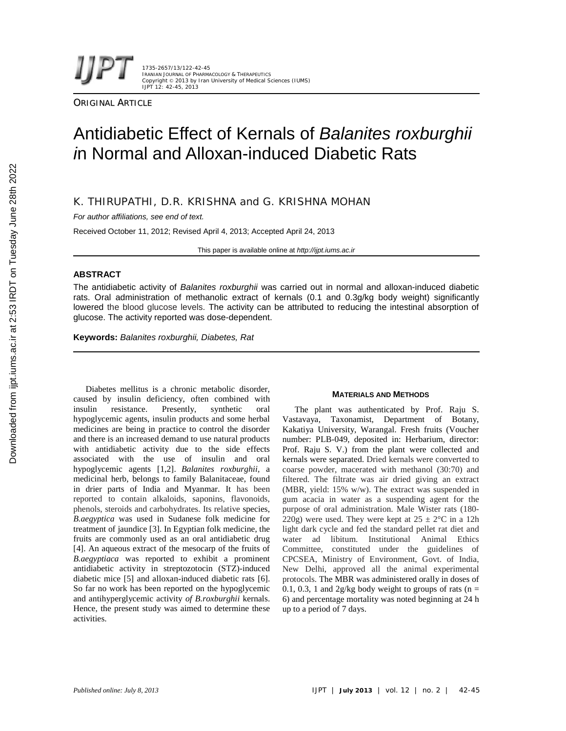1735-2657/13/122-42-45 IRANIAN JOURNAL OF PHARMACOLOGY & THERAPEUTICS Copyright © 2013 by Iran University of Medical Sciences (IUMS) IJPT 12: 42-45, 2013

**ORIGINAL ARTICLE** 

# Antidiabetic Effect of Kernals of *Balanites roxburghii i*n Normal and Alloxan-induced Diabetic Rats

# K. THIRUPATHI, D.R. KRISHNA and G. KRISHNA MOHAN

*For author affiliations, see end of text.*

Received October 11, 2012; Revised April 4, 2013; Accepted April 24, 2013

This paper is available online at *http://ijpt.iums.ac.ir*

## **ABSTRACT**

The antidiabetic activity of *Balanites roxburghii* was carried out in normal and alloxan-induced diabetic rats. Oral administration of methanolic extract of kernals (0.1 and 0.3g/kg body weight) significantly lowered the blood glucose levels. The activity can be attributed to reducing the intestinal absorption of glucose. The activity reported was dose-dependent.

**Keywords:** *Balanites roxburghii, Diabetes, Rat*

Diabetes mellitus is a chronic metabolic disorder, caused by insulin deficiency, often combined with insulin resistance. Presently, synthetic oral hypoglycemic agents, insulin products and some herbal medicines are being in practice to control the disorder and there is an increased demand to use natural products with antidiabetic activity due to the side effects associated with the use of insulin and oral hypoglycemic agents [1,2]. *Balanites roxburghii,* a medicinal herb, belongs to family Balanitaceae, found in drier parts of India and Myanmar. It has been reported to contain alkaloids, saponins, flavonoids, phenols, steroids and carbohydrates. Its relative species, *B.aegyptica* was used in Sudanese folk medicine for treatment of jaundice [3]. In Egyptian folk medicine, the fruits are commonly used as an oral antidiabetic drug [4]. An aqueous extract of the mesocarp of the fruits of *B.aegyptiaca* was reported to exhibit a prominent antidiabetic activity in streptozotocin (STZ)-induced diabetic mice [5] and alloxan-induced diabetic rats [6]. So far no work has been reported on the hypoglycemic and antihyperglycemic activity *of B.roxburghii* kernals. Hence, the present study was aimed to determine these activities.

### **MATERIALS AND METHODS**

The plant was authenticated by Prof. Raju S. Vastavaya, Taxonamist, Department of Botany, Kakatiya University, Warangal. Fresh fruits (Voucher number: PLB-049, deposited in: Herbarium, director: Prof. Raju S. V.) from the plant were collected and kernals were separated. Dried kernals were converted to coarse powder, macerated with methanol (30:70) and filtered. The filtrate was air dried giving an extract (MBR, yield: 15% w/w). The extract was suspended in gum acacia in water as a suspending agent for the purpose of oral administration. Male Wister rats (180- 220g) were used. They were kept at  $25 \pm 2^{\circ}$ C in a 12h light dark cycle and fed the standard pellet rat diet and water ad libitum. Institutional Animal Ethics Committee, constituted under the guidelines of CPCSEA, Ministry of Environment, Govt. of India, New Delhi, approved all the animal experimental protocols. The MBR was administered orally in doses of 0.1, 0.3, 1 and 2g/kg body weight to groups of rats ( $n =$ 6) and percentage mortality was noted beginning at 24 h up to a period of 7 days.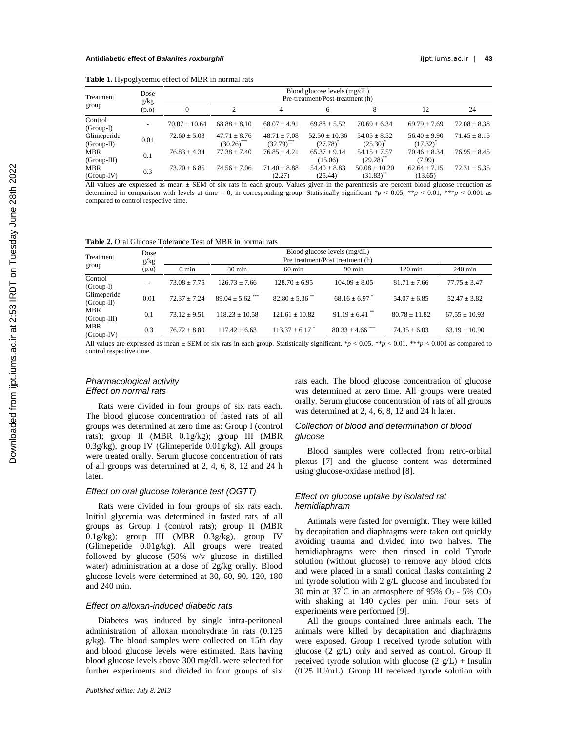|  |  |  | Table 1. Hypoglycemic effect of MBR in normal rats |  |
|--|--|--|----------------------------------------------------|--|
|--|--|--|----------------------------------------------------|--|

| Treatment                   | Dose<br>g/kg | Blood glucose levels (mg/dL)<br>Pre-treatment/Post-treatment (h) |                                   |                                   |                                             |                                             |                                   |                  |  |
|-----------------------------|--------------|------------------------------------------------------------------|-----------------------------------|-----------------------------------|---------------------------------------------|---------------------------------------------|-----------------------------------|------------------|--|
| group                       | (p.o)        | $\mathbf{0}$                                                     |                                   | 4                                 | 6                                           | 8                                           | 12                                | 24               |  |
| Control<br>$(Group-I)$      |              | $70.07 + 10.64$                                                  | $68.88 \pm 8.10$                  | $68.07 \pm 4.91$                  | $69.88 \pm 5.52$                            | $70.69 \pm 6.34$                            | $69.79 \pm 7.69$                  | $72.08 \pm 8.38$ |  |
| Glimeperide<br>$(Group-II)$ | 0.01         | $72.60 \pm 5.03$                                                 | $47.71 \pm 8.76$<br>$(30.26)$ *** | $48.71 \pm 7.08$<br>$(32.79)$ *** | $52.50 \pm 10.36$<br>$(27.78)$ <sup>*</sup> | $54.05 \pm 8.52$<br>$(25.30)^{^{\circ}}$    | $56.40 \pm 9.90$<br>$(17.32)^{7}$ | $71.45 \pm 8.15$ |  |
| MBR<br>$(Group-III)$        | 0.1          | $76.83 + 4.34$                                                   | $77.38 \pm 7.40$                  | $76.85 \pm 4.21$                  | $65.37 \pm 9.14$<br>(15.06)                 | $54.15 \pm 7.57$<br>$(29.28)$ **            | $70.46 \pm 8.34$<br>(7.99)        | $76.95 \pm 8.45$ |  |
| <b>MBR</b><br>(Group IV)    | 0.3          | $73.20 + 6.85$                                                   | $74.56 + 7.06$                    | $71.40 \pm 8.88$<br>(2.27)        | $54.40 \pm 8.83$<br>(25.44)                 | $50.08 \pm 10.20$<br>$(31.83)$ <sup>*</sup> | $62.64 \pm 7.15$<br>(13.65)       | $72.31 \pm 5.35$ |  |

All values are expressed as mean ± SEM of six rats in each group. Values given in the parenthesis are percent blood glucose reduction as determined in comparison with levels at time = 0, in corresponding group. Statistically significant  $*p < 0.05$ ,  $**p < 0.01$ ,  $***p < 0.001$  as compared to control respective time.

| Treatment                   | Dose<br>g/kg | Blood glucose levels (mg/dL)<br>Pre treatment/Post treatment (h) |                                 |                    |                                 |                   |                   |  |  |
|-----------------------------|--------------|------------------------------------------------------------------|---------------------------------|--------------------|---------------------------------|-------------------|-------------------|--|--|
| group                       | (p.o)        | $0 \text{ min}$                                                  | $30 \text{ min}$                | $60 \text{ min}$   | $90 \text{ min}$                | $120 \text{ min}$ | $240 \text{ min}$ |  |  |
| Control<br>(Group-I)        |              | $73.08 \pm 7.75$                                                 | $126.73 \pm 7.66$               | $128.70 \pm 6.95$  | $104.09 \pm 8.05$               | $81.71 \pm 7.66$  | $77.75 \pm 3.47$  |  |  |
| Glimeperide<br>$(Group-II)$ | 0.01         | $72.37 + 7.24$                                                   | $89.04 \pm 5.62$ <sup>***</sup> | $82.80 + 5.36$ **  | $68.16 + 6.97$                  | $54.07 + 6.85$    | $52.47 \pm 3.82$  |  |  |
| MBR<br>(Group-III)          | 0.1          | $73.12 \pm 9.51$                                                 | $118.23 + 10.58$                | $121.61 \pm 10.82$ | $91.19 \pm 6.41$ <sup>**</sup>  | $80.78 \pm 11.82$ | $67.55 \pm 10.93$ |  |  |
| MBR<br>(Group-IV)           | 0.3          | $76.72 + 8.80$                                                   | $117.42 \pm 6.63$               | $113.37 \pm 6.17$  | $80.33 \pm 4.66$ <sup>***</sup> | $74.35 \pm 6.03$  | $63.19 \pm 10.90$ |  |  |

All values are expressed as mean  $\pm$  SEM of six rats in each group. Statistically significant, \**p* < 0.05, \*\**p* < 0.01, \*\**\*p* < 0.001 as compared to control respective time.

## *Pharmacological activity Effect on normal rats*

Rats were divided in four groups of six rats each. The blood glucose concentration of fasted rats of all groups was determined at zero time as:Group I (control rats); group II (MBR 0.1g/kg); group III (MBR 0.3g/kg), group IV (Glimeperide 0.01g/kg). All groups were treated orally. Serum glucose concentration of rats of all groups was determined at 2, 4, 6, 8, 12 and 24 h later.

## *Effect on oral glucose tolerance test (OGTT)*

Rats were divided in four groups of six rats each. Initial glycemia was determined in fasted rats of all groups as Group I (control rats); group II (MBR 0.1g/kg); group III (MBR 0.3g/kg), group IV (Glimeperide 0.01g/kg). All groups were treated followed by glucose (50% w/v glucose in distilled water) administration at a dose of 2g/kg orally. Blood glucose levels were determined at 30, 60, 90, 120, 180 and 240 min.

#### *Effect on alloxan-induced diabetic rats*

Diabetes was induced by single intra-peritoneal administration of alloxan monohydrate in rats (0.125 g/kg). The blood samples were collected on 15th day and blood glucose levels were estimated. Rats having blood glucose levels above 300 mg/dL were selected for further experiments and divided in four groups of six rats each. The blood glucose concentration of glucose was determined at zero time. All groups were treated orally. Serum glucose concentration of rats of all groups was determined at 2, 4, 6, 8, 12 and 24 h later.

## *Collection of blood and determination of blood glucose*

Blood samples were collected from retro-orbital plexus [7] and the glucose content was determined using glucose-oxidase method [8].

## *Effect on glucose uptake by isolated rat hemidiaphram*

Animals were fasted for overnight. They were killed by decapitation and diaphragms were taken out quickly avoiding trauma and divided into two halves. The hemidiaphragms were then rinsed in cold Tyrode solution (without glucose) to remove any blood clots and were placed in a small conical flasks containing 2 ml tyrode solution with 2 g/L glucose and incubated for 30 min at  $37^{\circ}$ C in an atmosphere of 95% O<sub>2</sub> - 5% CO<sub>2</sub> with shaking at 140 cycles per min. Four sets of experiments were performed [9].

All the groups contained three animals each. The animals were killed by decapitation and diaphragms were exposed. Group I received tyrode solution with glucose (2 g/L) only and served as control. Group II received tyrode solution with glucose  $(2 g/L)$  + Insulin (0.25 IU/mL). Group III received tyrode solution with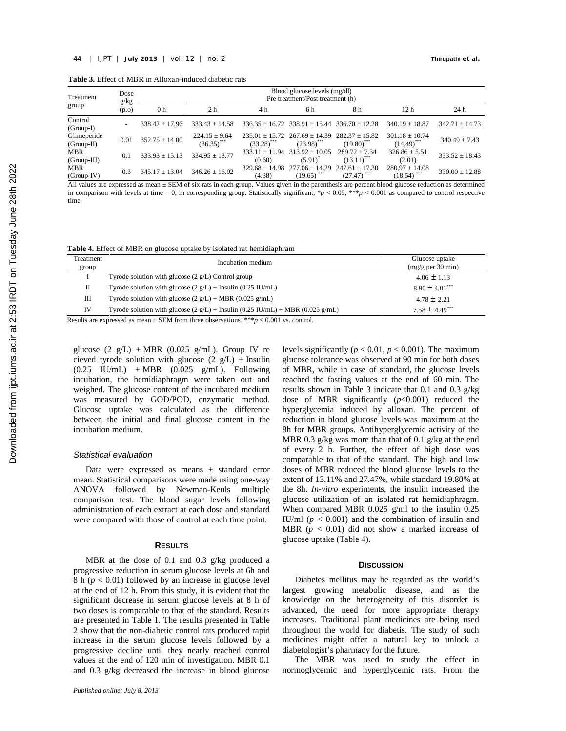| Treatment                    | Dose<br>g/kg             | Blood glucose levels (mg/dl)<br>Pre treatment/Post treatment (h) |                                    |                            |                                                    |                                      |                                                |                    |  |
|------------------------------|--------------------------|------------------------------------------------------------------|------------------------------------|----------------------------|----------------------------------------------------|--------------------------------------|------------------------------------------------|--------------------|--|
| group                        | (p.o)                    | 0 <sub>h</sub>                                                   | 2 <sub>h</sub>                     | 4 h                        | 6 h                                                | 8 h                                  | 12 h                                           | 24 h               |  |
| Control<br>(Group-I)         | $\overline{\phantom{a}}$ | $338.42 + 17.96$                                                 | $333.43 + 14.58$                   |                            | $336.35 + 16.72$ $338.91 + 15.44$ $336.70 + 12.28$ |                                      | $340.19 + 18.87$                               | $342.71 \pm 14.73$ |  |
| Glimeperide<br>(Group-II)    | 0.01                     | $352.75 \pm 14.00$                                               | $224.15 \pm 9.64$<br>$(36.35)$ *** | $(33.28)$ ***              | $235.01 + 15.72$ $267.69 + 14.39$<br>$(23.98)$ *** | $282.37 + 15.82$<br>$(19.80)^{***}$  | $301.18 \pm 10.74$<br>$(14.49)^{***}$          | $340.49 \pm 7.43$  |  |
| <b>MBR</b><br>$(Group-III)$  | 0.1                      | $333.93 \pm 15.13$                                               | $334.95 \pm 13.77$                 | $333.11 + 11.94$<br>(0.60) | $313.92 \pm 10.05$<br>$(5.91)$ <sup>*</sup>        | $289.72 \pm 7.34$<br>$(13.11)^{***}$ | $326.86 \pm 5.51$<br>(2.01)                    | $333.52 + 18.43$   |  |
| <b>MBR</b><br>$(Group - IV)$ | 0.3                      | $345.17 \pm 13.04$                                               | $346.26 \pm 16.92$                 | (4.38)                     | $329.68 \pm 14.98$ $277.06 \pm 14.29$<br>(19.65)   | $247.61 \pm 17.30$<br>(27.47)        | $280.97 \pm 14.08$<br>$(18.54)$ <sup>***</sup> | $330.00 \pm 12.88$ |  |

All values are expressed as mean ± SEM of six rats in each group. Values given in the parenthesis are percent blood glucose reduction as determined in comparison with levels at time = 0, in corresponding group. Statistically significant, \**p* < 0.05, \*\*\**p* < 0.001 as compared to control respective time.

**Table 4.** Effect of MBR on glucose uptake by isolated rat hemidiaphram

| Treatment<br>group | Incubation medium                                                                    | Glucose uptake<br>(mg/g per 30 min) |
|--------------------|--------------------------------------------------------------------------------------|-------------------------------------|
|                    | Tyrode solution with glucose $(2 g/L)$ Control group                                 | $4.06 \pm 1.13$                     |
| П                  | Tyrode solution with glucose $(2 g/L)$ + Insulin $(0.25 I U/mL)$                     | $8.90 \pm 4.01***$                  |
| Ш                  | Tyrode solution with glucose $(2 g/L)$ + MBR $(0.025 g/mL)$                          | $4.78 \pm 2.21$                     |
| IV                 | Tyrode solution with glucose $(2 g/L)$ + Insulin $(0.25 IU/mL)$ + MBR $(0.025 g/mL)$ | $7.58 \pm 4.49***$                  |
|                    |                                                                                      |                                     |

Results are expressed as mean  $\pm$  SEM from three observations. \*\*\* $p < 0.001$  vs. control.

glucose  $(2 g/L)$  + MBR (0.025 g/mL). Group IV re cieved tyrode solution with glucose  $(2 g/L)$  + Insulin  $(0.25 \quad \text{IU/mL}) + \text{MBR} \quad (0.025 \quad \text{g/mL}).$  Following incubation, the hemidiaphragm were taken out and weighed. The glucose content of the incubated medium was measured by GOD/POD, enzymatic method. Glucose uptake was calculated as the difference between the initial and final glucose content in the incubation medium.

#### *Statistical evaluation*

Data were expressed as means ± standard error mean. Statistical comparisons were made using one-way ANOVA followed by Newman-Keuls multiple comparison test. The blood sugar levels following administration of each extract at each dose and standard were compared with those of control at each time point.

## **RESULTS**

MBR at the dose of 0.1 and 0.3 g/kg produced a progressive reduction in serum glucose levels at 6h and 8 h  $(p < 0.01)$  followed by an increase in glucose level at the end of 12 h. From this study, it is evident that the significant decrease in serum glucose levels at 8 h of two doses is comparable to that of the standard. Results are presented in Table 1. The results presented in Table 2 show that the non-diabetic control rats produced rapid increase in the serum glucose levels followed by a progressive decline until they nearly reached control values at the end of 120 min of investigation. MBR 0.1 and 0.3 g/kg decreased the increase in blood glucose levels significantly ( $p < 0.01$ ,  $p < 0.001$ ). The maximum glucose tolerance was observed at 90 min for both doses of MBR, while in case of standard, the glucose levels reached the fasting values at the end of 60 min. The results shown in Table 3 indicate that 0.1 and 0.3 g/kg dose of MBR significantly  $(p<0.001)$  reduced the hyperglycemia induced by alloxan. The percent of reduction in blood glucose levels was maximum at the 8h for MBR groups. Antihyperglycemic activity of the MBR 0.3 g/kg was more than that of 0.1 g/kg at the end of every 2 h. Further, the effect of high dose was comparable to that of the standard. The high and low doses of MBR reduced the blood glucose levels to the extent of 13.11% and 27.47%, while standard 19.80% at the 8h. *In-vitro* experiments, the insulin increased the glucose utilization of an isolated rat hemidiaphragm. When compared MBR 0.025 g/ml to the insulin 0.25 IU/ml ( $p < 0.001$ ) and the combination of insulin and MBR  $(p < 0.01)$  did not show a marked increase of glucose uptake (Table 4).

## **DISCUSSION**

Diabetes mellitus may be regarded as the world's largest growing metabolic disease, and as the knowledge on the heterogeneity of this disorder is advanced, the need for more appropriate therapy increases. Traditional plant medicines are being used throughout the world for diabetis. The study of such medicines might offer a natural key to unlock a diabetologist's pharmacy for the future.

The MBR was used to study the effect in normoglycemic and hyperglycemic rats. From the